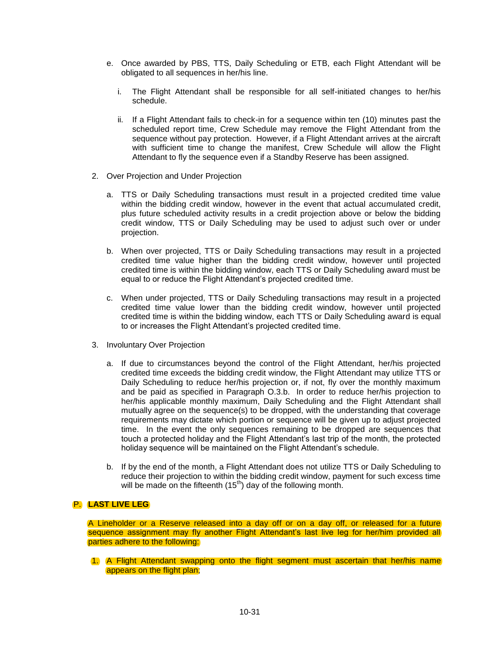- e. Once awarded by PBS, TTS, Daily Scheduling or ETB, each Flight Attendant will be obligated to all sequences in her/his line.
	- i. The Flight Attendant shall be responsible for all self-initiated changes to her/his schedule.
	- ii. If a Flight Attendant fails to check-in for a sequence within ten (10) minutes past the scheduled report time, Crew Schedule may remove the Flight Attendant from the sequence without pay protection. However, if a Flight Attendant arrives at the aircraft with sufficient time to change the manifest, Crew Schedule will allow the Flight Attendant to fly the sequence even if a Standby Reserve has been assigned.
- 2. Over Projection and Under Projection
	- a. TTS or Daily Scheduling transactions must result in a projected credited time value within the bidding credit window, however in the event that actual accumulated credit, plus future scheduled activity results in a credit projection above or below the bidding credit window, TTS or Daily Scheduling may be used to adjust such over or under projection.
	- b. When over projected, TTS or Daily Scheduling transactions may result in a projected credited time value higher than the bidding credit window, however until projected credited time is within the bidding window, each TTS or Daily Scheduling award must be equal to or reduce the Flight Attendant's projected credited time.
	- c. When under projected, TTS or Daily Scheduling transactions may result in a projected credited time value lower than the bidding credit window, however until projected credited time is within the bidding window, each TTS or Daily Scheduling award is equal to or increases the Flight Attendant's projected credited time.
- 3. Involuntary Over Projection
	- a. If due to circumstances beyond the control of the Flight Attendant, her/his projected credited time exceeds the bidding credit window, the Flight Attendant may utilize TTS or Daily Scheduling to reduce her/his projection or, if not, fly over the monthly maximum and be paid as specified in Paragraph O.3.b. In order to reduce her/his projection to her/his applicable monthly maximum, Daily Scheduling and the Flight Attendant shall mutually agree on the sequence(s) to be dropped, with the understanding that coverage requirements may dictate which portion or sequence will be given up to adjust projected time. In the event the only sequences remaining to be dropped are sequences that touch a protected holiday and the Flight Attendant's last trip of the month, the protected holiday sequence will be maintained on the Flight Attendant's schedule.
	- b. If by the end of the month, a Flight Attendant does not utilize TTS or Daily Scheduling to reduce their projection to within the bidding credit window, payment for such excess time will be made on the fifteenth  $(15<sup>th</sup>)$  day of the following month.

## P. **LAST LIVE LEG**

A Lineholder or a Reserve released into a day off or on a day off, or released for a future sequence assignment may fly another Flight Attendant's last live leg for her/him provided all parties adhere to the following:

1. A Flight Attendant swapping onto the flight segment must ascertain that her/his name appears on the flight plan;